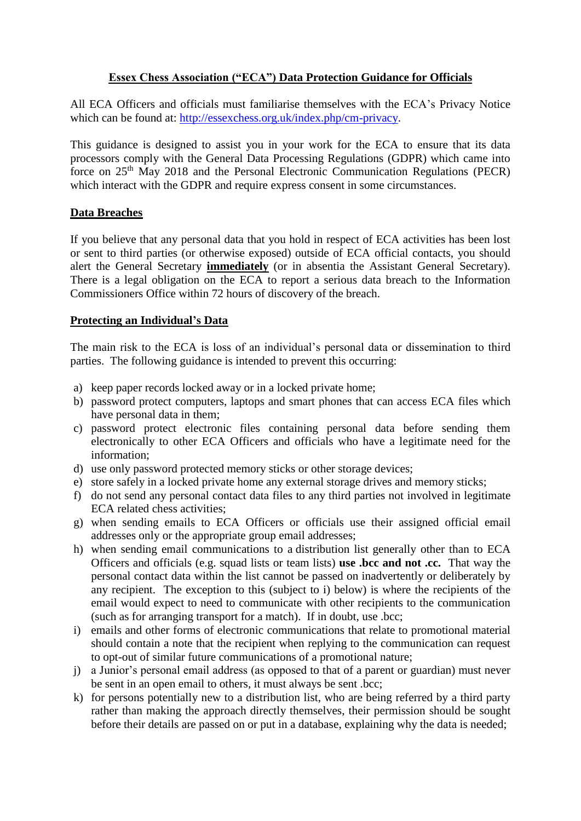# **Essex Chess Association ("ECA") Data Protection Guidance for Officials**

All ECA Officers and officials must familiarise themselves with the ECA's Privacy Notice which can be found at: [http://essexchess.org.uk/index.php/cm-privacy.](http://essexchess.org.uk/index.php/cm-privacy)

This guidance is designed to assist you in your work for the ECA to ensure that its data processors comply with the General Data Processing Regulations (GDPR) which came into force on 25th May 2018 and the Personal Electronic Communication Regulations (PECR) which interact with the GDPR and require express consent in some circumstances.

### **Data Breaches**

If you believe that any personal data that you hold in respect of ECA activities has been lost or sent to third parties (or otherwise exposed) outside of ECA official contacts, you should alert the General Secretary **immediately** (or in absentia the Assistant General Secretary). There is a legal obligation on the ECA to report a serious data breach to the Information Commissioners Office within 72 hours of discovery of the breach.

## **Protecting an Individual's Data**

The main risk to the ECA is loss of an individual's personal data or dissemination to third parties. The following guidance is intended to prevent this occurring:

- a) keep paper records locked away or in a locked private home;
- b) password protect computers, laptops and smart phones that can access ECA files which have personal data in them;
- c) password protect electronic files containing personal data before sending them electronically to other ECA Officers and officials who have a legitimate need for the information;
- d) use only password protected memory sticks or other storage devices;
- e) store safely in a locked private home any external storage drives and memory sticks;
- f) do not send any personal contact data files to any third parties not involved in legitimate ECA related chess activities;
- g) when sending emails to ECA Officers or officials use their assigned official email addresses only or the appropriate group email addresses;
- h) when sending email communications to a distribution list generally other than to ECA Officers and officials (e.g. squad lists or team lists) **use .bcc and not .cc.** That way the personal contact data within the list cannot be passed on inadvertently or deliberately by any recipient. The exception to this (subject to i) below) is where the recipients of the email would expect to need to communicate with other recipients to the communication (such as for arranging transport for a match). If in doubt, use .bcc;
- i) emails and other forms of electronic communications that relate to promotional material should contain a note that the recipient when replying to the communication can request to opt-out of similar future communications of a promotional nature;
- j) a Junior's personal email address (as opposed to that of a parent or guardian) must never be sent in an open email to others, it must always be sent .bcc;
- k) for persons potentially new to a distribution list, who are being referred by a third party rather than making the approach directly themselves, their permission should be sought before their details are passed on or put in a database, explaining why the data is needed;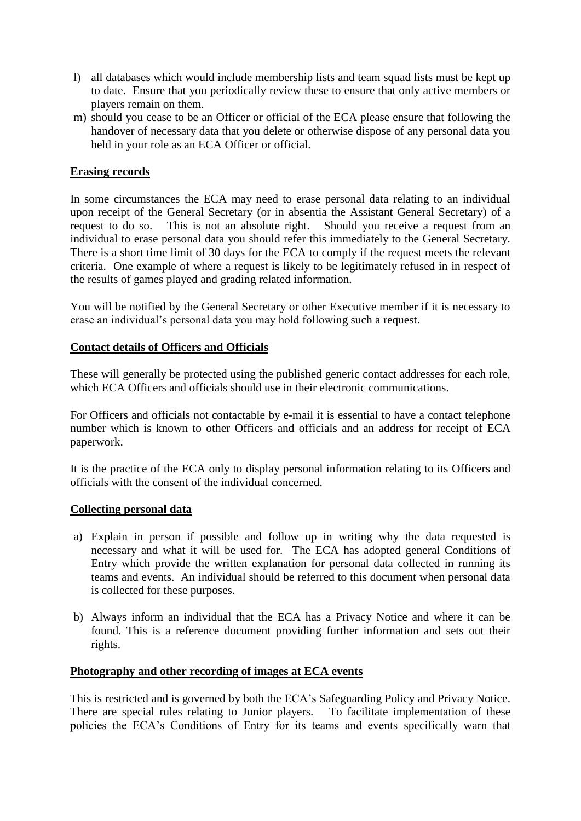- l) all databases which would include membership lists and team squad lists must be kept up to date. Ensure that you periodically review these to ensure that only active members or players remain on them.
- m) should you cease to be an Officer or official of the ECA please ensure that following the handover of necessary data that you delete or otherwise dispose of any personal data you held in your role as an ECA Officer or official.

## **Erasing records**

In some circumstances the ECA may need to erase personal data relating to an individual upon receipt of the General Secretary (or in absentia the Assistant General Secretary) of a request to do so. This is not an absolute right. Should you receive a request from an individual to erase personal data you should refer this immediately to the General Secretary. There is a short time limit of 30 days for the ECA to comply if the request meets the relevant criteria. One example of where a request is likely to be legitimately refused in in respect of the results of games played and grading related information.

You will be notified by the General Secretary or other Executive member if it is necessary to erase an individual's personal data you may hold following such a request.

### **Contact details of Officers and Officials**

These will generally be protected using the published generic contact addresses for each role, which ECA Officers and officials should use in their electronic communications.

For Officers and officials not contactable by e-mail it is essential to have a contact telephone number which is known to other Officers and officials and an address for receipt of ECA paperwork.

It is the practice of the ECA only to display personal information relating to its Officers and officials with the consent of the individual concerned.

### **Collecting personal data**

- a) Explain in person if possible and follow up in writing why the data requested is necessary and what it will be used for. The ECA has adopted general Conditions of Entry which provide the written explanation for personal data collected in running its teams and events. An individual should be referred to this document when personal data is collected for these purposes.
- b) Always inform an individual that the ECA has a Privacy Notice and where it can be found. This is a reference document providing further information and sets out their rights.

### **Photography and other recording of images at ECA events**

This is restricted and is governed by both the ECA's Safeguarding Policy and Privacy Notice. There are special rules relating to Junior players. To facilitate implementation of these policies the ECA's Conditions of Entry for its teams and events specifically warn that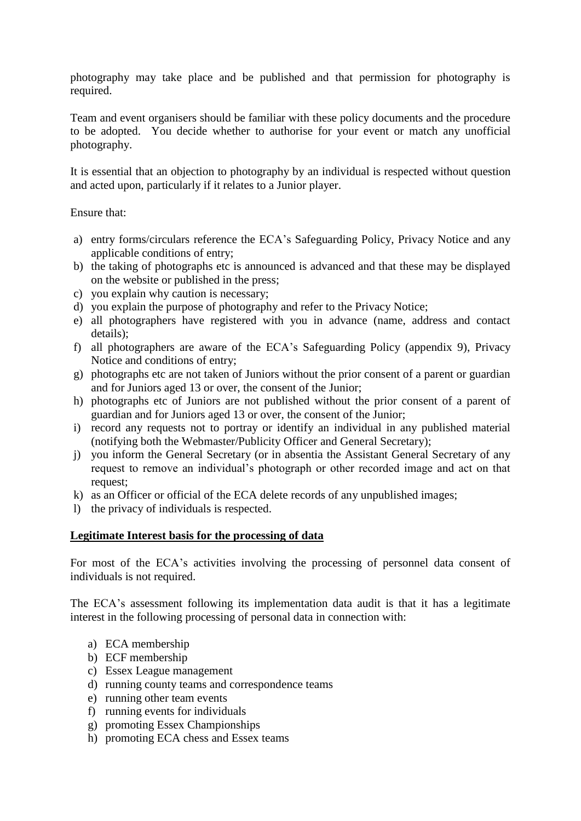photography may take place and be published and that permission for photography is required.

Team and event organisers should be familiar with these policy documents and the procedure to be adopted. You decide whether to authorise for your event or match any unofficial photography.

It is essential that an objection to photography by an individual is respected without question and acted upon, particularly if it relates to a Junior player.

Ensure that:

- a) entry forms/circulars reference the ECA's Safeguarding Policy, Privacy Notice and any applicable conditions of entry;
- b) the taking of photographs etc is announced is advanced and that these may be displayed on the website or published in the press;
- c) you explain why caution is necessary;
- d) you explain the purpose of photography and refer to the Privacy Notice;
- e) all photographers have registered with you in advance (name, address and contact details);
- f) all photographers are aware of the ECA's Safeguarding Policy (appendix 9), Privacy Notice and conditions of entry;
- g) photographs etc are not taken of Juniors without the prior consent of a parent or guardian and for Juniors aged 13 or over, the consent of the Junior;
- h) photographs etc of Juniors are not published without the prior consent of a parent of guardian and for Juniors aged 13 or over, the consent of the Junior;
- i) record any requests not to portray or identify an individual in any published material (notifying both the Webmaster/Publicity Officer and General Secretary);
- j) you inform the General Secretary (or in absentia the Assistant General Secretary of any request to remove an individual's photograph or other recorded image and act on that request;
- k) as an Officer or official of the ECA delete records of any unpublished images;
- l) the privacy of individuals is respected.

### **Legitimate Interest basis for the processing of data**

For most of the ECA's activities involving the processing of personnel data consent of individuals is not required.

The ECA's assessment following its implementation data audit is that it has a legitimate interest in the following processing of personal data in connection with:

- a) ECA membership
- b) ECF membership
- c) Essex League management
- d) running county teams and correspondence teams
- e) running other team events
- f) running events for individuals
- g) promoting Essex Championships
- h) promoting ECA chess and Essex teams